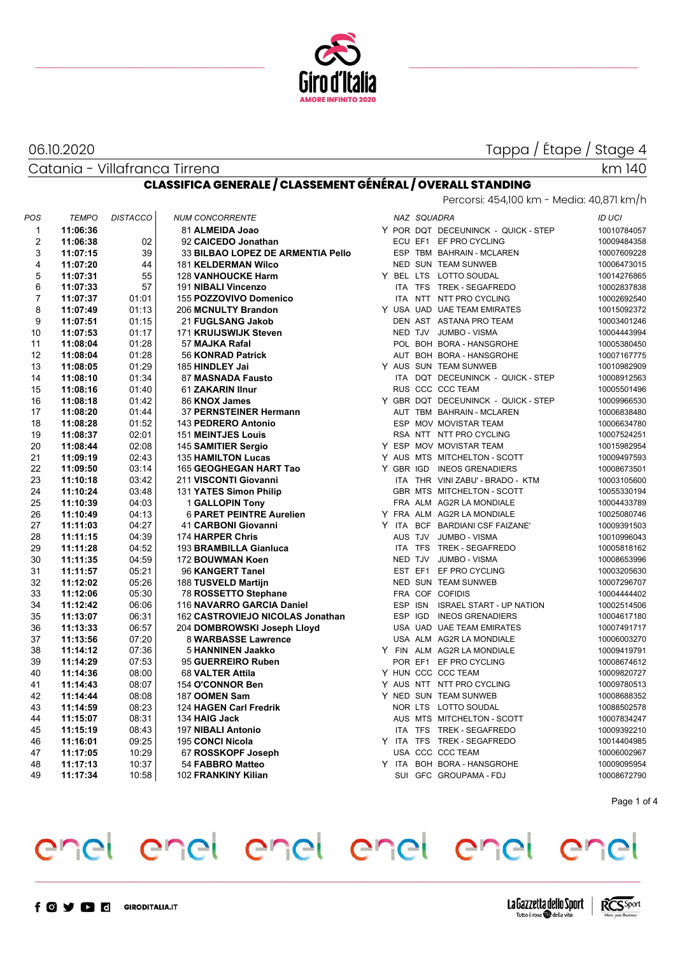

#### 06.10.2020

Catania - Villafranca Tirrena

## Tappa / Étape / Stage 4

km 140

### **CLASSIFICA GENERALE / CLASSEMENT GÉNÉRAL / OVERALL STANDING**

|                |              |                 |                                  |                                   |  |             | Percorsi: 454,100 km - Media: 40,871 km/h |               |
|----------------|--------------|-----------------|----------------------------------|-----------------------------------|--|-------------|-------------------------------------------|---------------|
| POS            | <b>TEMPO</b> | <b>DISTACCO</b> | <b>NUM CONCORRENTE</b>           |                                   |  | NAZ SQUADRA |                                           | <b>ID UCI</b> |
| 1              | 11:06:36     |                 | 81 ALMEIDA Joao                  |                                   |  |             | Y POR DQT DECEUNINCK - QUICK - STEP       | 10010784057   |
| $\overline{2}$ | 11:06:38     | 02              | 92 CAICEDO Jonathan              |                                   |  |             | ECU EF1 EF PRO CYCLING                    | 10009484358   |
| 3              | 11:07:15     | 39              |                                  | 33 BILBAO LOPEZ DE ARMENTIA Pello |  |             | ESP TBM BAHRAIN - MCLAREN                 | 10007609228   |
| 4              | 11:07:20     | 44              | <b>181 KELDERMAN Wilco</b>       |                                   |  |             | NED SUN TEAM SUNWEB                       | 10006473015   |
| 5              | 11:07:31     | 55              | <b>128 VANHOUCKE Harm</b>        |                                   |  |             | Y BEL LTS LOTTO SOUDAL                    | 10014276865   |
| 6              | 11:07:33     | 57              | 191 NIBALI Vincenzo              |                                   |  |             | ITA TFS TREK - SEGAFREDO                  | 10002837838   |
| 7              | 11:07:37     | 01:01           | 155 POZZOVIVO Domenico           |                                   |  |             | ITA NTT NTT PRO CYCLING                   | 10002692540   |
| 8              | 11:07:49     | 01:13           | 206 MCNULTY Brandon              |                                   |  |             | Y USA UAD UAE TEAM EMIRATES               | 10015092372   |
| 9              | 11:07:51     | 01:15           | 21 FUGLSANG Jakob                |                                   |  |             | DEN AST ASTANA PRO TEAM                   | 10003401246   |
| 10             | 11:07:53     | 01:17           | 171 KRUIJSWIJK Steven            |                                   |  |             | NED TJV JUMBO - VISMA                     | 10004443994   |
| 11             | 11:08:04     | 01:28           | 57 MAJKA Rafal                   |                                   |  |             | POL BOH BORA - HANSGROHE                  | 10005380450   |
| 12             | 11:08:04     | 01:28           | 56 KONRAD Patrick                |                                   |  |             | AUT BOH BORA - HANSGROHE                  | 10007167775   |
| 13             | 11:08:05     | 01:29           | 185 HINDLEY Jai                  |                                   |  |             | Y AUS SUN TEAM SUNWEB                     | 10010982909   |
| 14             | 11:08:10     | 01:34           | 87 MASNADA Fausto                |                                   |  |             | ITA DQT DECEUNINCK - QUICK - STEP         | 10008912563   |
| 15             | 11:08:16     | 01:40           | 61 ZAKARIN Ilnur                 |                                   |  |             | RUS CCC CCC TEAM                          | 10005501496   |
| 16             | 11:08:18     | 01:42           | 86 KNOX James                    |                                   |  |             | Y GBR DQT DECEUNINCK - QUICK - STEP       | 10009966530   |
| 17             | 11:08:20     | 01:44           | 37 PERNSTEINER Hermann           |                                   |  |             | AUT TBM BAHRAIN - MCLAREN                 | 10006838480   |
| 18             | 11:08:28     | 01:52           | 143 PEDRERO Antonio              |                                   |  |             | ESP MOV MOVISTAR TEAM                     | 10006634780   |
| 19             | 11:08:37     | 02:01           | <b>151 MEINTJES Louis</b>        |                                   |  |             | RSA NTT NTT PRO CYCLING                   | 10007524251   |
| 20             | 11:08:44     | 02:08           | 145 SAMITIER Sergio              |                                   |  |             | Y ESP MOV MOVISTAR TEAM                   | 10015982954   |
| 21             | 11:09:19     | 02:43           | <b>135 HAMILTON Lucas</b>        |                                   |  |             | Y AUS MTS MITCHELTON - SCOTT              | 10009497593   |
| 22             | 11:09:50     | 03:14           | 165 GEOGHEGAN HART Tao           |                                   |  |             | Y GBR IGD INEOS GRENADIERS                | 10008673501   |
| 23             | 11:10:18     | 03:42           | 211 VISCONTI Giovanni            |                                   |  |             | ITA THR VINI ZABU' - BRADO - KTM          | 10003105600   |
| 24             | 11:10:24     | 03:48           | 131 YATES Simon Philip           |                                   |  |             | GBR MTS MITCHELTON - SCOTT                | 10055330194   |
| 25             | 11:10:39     | 04:03           | <b>1 GALLOPIN Tony</b>           |                                   |  |             | FRA ALM AG2R LA MONDIALE                  | 10004433789   |
| 26             | 11:10:49     | 04:13           | <b>6 PARET PEINTRE Aurelien</b>  |                                   |  |             | Y FRA ALM AG2R LA MONDIALE                | 10025080746   |
| 27             | 11:11:03     | 04:27           | 41 CARBONI Giovanni              |                                   |  |             | Y ITA BCF BARDIANI CSF FAIZANE'           | 10009391503   |
| 28             | 11:11:15     | 04:39           | 174 HARPER Chris                 |                                   |  |             | AUS TJV JUMBO - VISMA                     | 10010996043   |
| 29             | 11:11:28     | 04:52           | 193 BRAMBILLA Gianluca           |                                   |  |             | ITA TFS TREK - SEGAFREDO                  | 10005818162   |
| 30             | 11:11:35     | 04:59           | 172 BOUWMAN Koen                 |                                   |  | NED TJV     | <b>JUMBO - VISMA</b>                      | 10008653996   |
| 31             | 11:11:57     | 05:21           | 96 KANGERT Tanel                 |                                   |  | EST EF1     | EF PRO CYCLING                            | 10003205630   |
| 32             | 11:12:02     | 05:26           | 188 TUSVELD Martijn              |                                   |  |             | NED SUN TEAM SUNWEB                       | 10007296707   |
| 33             | 11:12:06     | 05:30           | 78 ROSSETTO Stephane             |                                   |  |             | FRA COF COFIDIS                           | 10004444402   |
| 34             | 11:12:42     | 06:06           | 116 NAVARRO GARCIA Daniel        |                                   |  |             | ESP ISN ISRAEL START - UP NATION          | 10002514506   |
| 35             | 11:13:07     | 06:31           | 162 CASTROVIEJO NICOLAS Jonathan |                                   |  |             | ESP IGD INEOS GRENADIERS                  | 10004617180   |
| 36             | 11:13:33     | 06:57           | 204 DOMBROWSKI Joseph Lloyd      |                                   |  |             | USA UAD UAE TEAM EMIRATES                 | 10007491717   |
| 37             | 11:13:56     | 07:20           | 8 WARBASSE Lawrence              |                                   |  |             | USA ALM AG2R LA MONDIALE                  | 10006003270   |
| 38             | 11:14:12     | 07:36           | 5 HANNINEN Jaakko                |                                   |  |             | Y FIN ALM AG2R LA MONDIALE                | 10009419791   |
| 39             | 11:14:29     | 07:53           | 95 GUERREIRO Ruben               |                                   |  |             | POR EF1 EF PRO CYCLING                    | 10008674612   |
| 40             | 11:14:36     | 08:00           | 68 VALTER Attila                 |                                   |  |             | Y HUN CCC CCC TEAM                        | 10009820727   |
| 41             | 11:14:43     | 08:07           | 154 O'CONNOR Ben                 |                                   |  |             | Y AUS NTT NTT PRO CYCLING                 | 10009780513   |
| 42             | 11:14:44     | 08:08           | 187 OOMEN Sam                    |                                   |  |             | Y NED SUN TEAM SUNWEB                     | 10008688352   |
| 43             | 11:14:59     | 08:23           | 124 HAGEN Carl Fredrik           |                                   |  |             | NOR LTS LOTTO SOUDAL                      | 10088502578   |
| 44             | 11:15:07     | 08:31           | 134 HAIG Jack                    |                                   |  |             | AUS MTS MITCHELTON - SCOTT                | 10007834247   |
| 45             | 11:15:19     | 08:43           | 197 NIBALI Antonio               |                                   |  |             | ITA TFS TREK - SEGAFREDO                  | 10009392210   |
| 46             | 11:16:01     | 09:25           | 195 CONCI Nicola                 |                                   |  |             | Y ITA TFS TREK - SEGAFREDO                | 10014404985   |
| 47             | 11:17:05     | 10:29           | 67 ROSSKOPF Joseph               |                                   |  |             | USA CCC CCC TEAM                          | 10006002967   |
| 48             | 11:17:13     | 10:37           | 54 FABBRO Matteo                 |                                   |  |             | Y ITA BOH BORA - HANSGROHE                | 10009095954   |
| 49             | 11:17:34     | 10:58           | 102 FRANKINY Kilian              |                                   |  |             | SUI GFC GROUPAMA - FDJ                    | 10008672790   |

Page 1 of 4



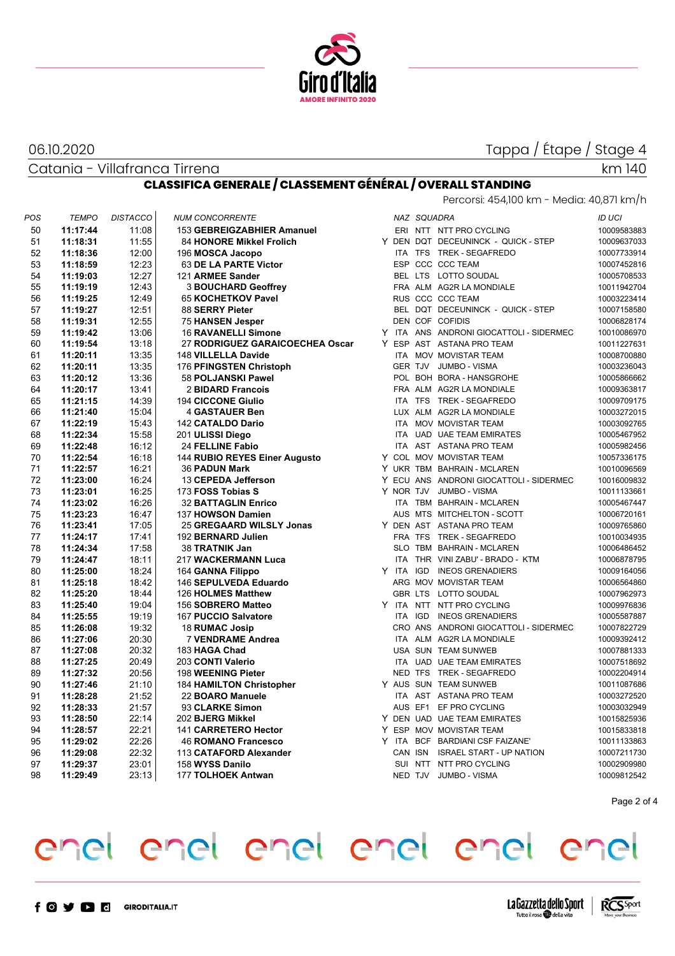

#### 06.10.2020

Tappa / Étape / Stage 4

### Catania - Villafranca Tirrena

#### km 140

### **CLASSIFICA GENERALE / CLASSEMENT GÉNÉRAL / OVERALL STANDING**

| Percorsi: 454,100 km - Media: 40,871 km/h |
|-------------------------------------------|
|-------------------------------------------|

| POS | <b>TEMPO</b> | <b>DISTACCO</b> | <b>NUM CONCORRENTE</b>          |       | NAZ SQUADRA |                                         | <b>ID UCI</b> |
|-----|--------------|-----------------|---------------------------------|-------|-------------|-----------------------------------------|---------------|
| 50  | 11:17:44     | 11:08           | 153 GEBREIGZABHIER Amanuel      |       |             | ERI NTT NTT PRO CYCLING                 | 10009583883   |
| 51  | 11:18:31     | 11:55           | <b>84 HONORE Mikkel Frolich</b> |       |             | Y DEN DQT DECEUNINCK - QUICK - STEP     | 10009637033   |
| 52  | 11:18:36     | 12:00           | 196 MOSCA Jacopo                |       |             | ITA TFS TREK - SEGAFREDO                | 10007733914   |
| 53  | 11:18:59     | 12:23           | 63 DE LA PARTE Victor           |       |             | ESP CCC CCC TEAM                        | 10007452816   |
| 54  | 11:19:03     | 12:27           | 121 ARMEE Sander                |       |             | BEL LTS LOTTO SOUDAL                    | 10005708533   |
| 55  | 11:19:19     | 12:43           | <b>3 BOUCHARD Geoffrey</b>      |       |             | FRA ALM AG2R LA MONDIALE                | 10011942704   |
| 56  | 11:19:25     | 12:49           | 65 KOCHETKOV Pavel              |       |             | RUS CCC CCC TEAM                        | 10003223414   |
| 57  | 11:19:27     | 12:51           | 88 SERRY Pieter                 |       |             | BEL DQT DECEUNINCK - QUICK - STEP       | 10007158580   |
| 58  | 11:19:31     | 12:55           | 75 HANSEN Jesper                |       |             | DEN COF COFIDIS                         | 10006828174   |
| 59  | 11:19:42     | 13:06           | 16 RAVANELLI Simone             |       |             | Y ITA ANS ANDRONI GIOCATTOLI - SIDERMEC | 10010086970   |
| 60  | 11:19:54     | 13:18           | 27 RODRIGUEZ GARAICOECHEA Oscar |       |             | Y ESP AST ASTANA PRO TEAM               | 10011227631   |
| 61  | 11:20:11     | 13:35           | 148 VILLELLA Davide             |       |             | ITA MOV MOVISTAR TEAM                   | 10008700880   |
| 62  | 11:20:11     | 13:35           | 176 PFINGSTEN Christoph         |       |             | GER TJV JUMBO - VISMA                   | 10003236043   |
| 63  | 11:20:12     | 13:36           | 58 POLJANSKI Pawel              |       |             | POL BOH BORA - HANSGROHE                | 10005866662   |
| 64  | 11:20:17     | 13:41           | 2 BIDARD Francois               |       |             | FRA ALM AG2R LA MONDIALE                | 10009363817   |
| 65  | 11:21:15     | 14:39           | <b>194 CICCONE Giulio</b>       |       |             | ITA TFS TREK - SEGAFREDO                | 10009709175   |
| 66  | 11:21:40     | 15:04           | <b>4 GASTAUER Ben</b>           |       |             | LUX ALM AG2R LA MONDIALE                | 10003272015   |
| 67  | 11:22:19     | 15:43           | 142 CATALDO Dario               |       |             | ITA MOV MOVISTAR TEAM                   | 10003092765   |
| 68  | 11:22:34     | 15:58           | 201 ULISSI Diego                |       |             | ITA UAD UAE TEAM EMIRATES               | 10005467952   |
| 69  | 11:22:48     | 16:12           | 24 FELLINE Fabio                |       |             | ITA AST ASTANA PRO TEAM                 | 10005982456   |
| 70  | 11:22:54     | 16:18           | 144 RUBIO REYES Einer Augusto   |       |             | Y COL MOV MOVISTAR TEAM                 | 10057336175   |
| 71  | 11:22:57     | 16:21           | <b>36 PADUN Mark</b>            |       |             | Y UKR TBM BAHRAIN - MCLAREN             | 10010096569   |
| 72  | 11:23:00     | 16:24           | 13 CEPEDA Jefferson             |       |             | Y ECU ANS ANDRONI GIOCATTOLI - SIDERMEC | 10016009832   |
| 73  | 11:23:01     | 16:25           | 173 FOSS Tobias S               |       |             | Y NOR TJV JUMBO - VISMA                 | 10011133661   |
| 74  | 11:23:02     | 16:26           | <b>32 BATTAGLIN Enrico</b>      |       |             | ITA TBM BAHRAIN - MCLAREN               | 10005467447   |
| 75  | 11:23:23     | 16:47           | 137 HOWSON Damien               |       |             | AUS MTS MITCHELTON - SCOTT              | 10006720161   |
| 76  | 11:23:41     | 17:05           | 25 GREGAARD WILSLY Jonas        |       |             | Y DEN AST ASTANA PRO TEAM               | 10009765860   |
| 77  | 11:24:17     | 17:41           | 192 BERNARD Julien              |       |             | FRA TFS TREK - SEGAFREDO                | 10010034935   |
| 78  | 11:24:34     | 17:58           | 38 TRATNIK Jan                  |       |             | SLO TBM BAHRAIN - MCLAREN               | 10006486452   |
| 79  | 11:24:47     | 18:11           | 217 WACKERMANN Luca             |       |             | ITA THR VINI ZABU' - BRADO - KTM        | 10006878795   |
| 80  | 11:25:00     | 18:24           | 164 GANNA Filippo               |       |             | Y ITA IGD INEOS GRENADIERS              | 10009164056   |
| 81  | 11:25:18     | 18:42           | 146 SEPULVEDA Eduardo           |       |             | ARG MOV MOVISTAR TEAM                   | 10006564860   |
| 82  | 11:25:20     | 18:44           | 126 HOLMES Matthew              |       |             | GBR LTS LOTTO SOUDAL                    | 10007962973   |
| 83  | 11:25:40     | 19:04           | 156 SOBRERO Matteo              |       |             | Y ITA NTT NTT PRO CYCLING               | 10009976836   |
| 84  | 11:25:55     | 19:19           | 167 PUCCIO Salvatore            | ITA   |             | IGD INEOS GRENADIERS                    | 10005587887   |
| 85  | 11:26:08     | 19:32           | 18 RUMAC Josip                  |       |             | CRO ANS ANDRONI GIOCATTOLI - SIDERMEC   | 10007822729   |
| 86  | 11:27:06     | 20:30           | <b>7 VENDRAME Andrea</b>        |       |             | ITA ALM AG2R LA MONDIALE                | 10009392412   |
| 87  | 11:27:08     | 20:32           | 183 HAGA Chad                   |       |             | USA SUN TEAM SUNWEB                     | 10007881333   |
| 88  | 11:27:25     | 20:49           | 203 CONTI Valerio               |       |             | ITA UAD UAE TEAM EMIRATES               | 10007518692   |
| 89  | 11:27:32     | 20:56           | 198 WEENING Pieter              |       |             | NED TFS TREK - SEGAFREDO                | 10002204914   |
| 90  | 11:27:46     | 21:10           | <b>184 HAMILTON Christopher</b> |       |             | Y AUS SUN TEAM SUNWEB                   | 10011087686   |
| 91  | 11:28:28     | 21:52           | 22 BOARO Manuele                |       |             | ITA AST ASTANA PRO TEAM                 | 10003272520   |
| 92  | 11:28:33     | 21:57           | 93 CLARKE Simon                 |       |             | AUS EF1 EF PRO CYCLING                  | 10003032949   |
| 93  | 11:28:50     | 22:14           | 202 BJERG Mikkel                |       |             | Y DEN UAD UAE TEAM EMIRATES             | 10015825936   |
| 94  | 11:28:57     | 22:21           | 141 CARRETERO Hector            |       |             | Y ESP MOV MOVISTAR TEAM                 | 10015833818   |
| 95  | 11:29:02     | 22:26           | 46 ROMANO Francesco             | Y ITA |             | BCF BARDIANI CSF FAIZANE'               | 10011133863   |
| 96  | 11:29:08     | 22:32           | 113 CATAFORD Alexander          |       |             | CAN ISN ISRAEL START - UP NATION        | 10007211730   |
| 97  | 11:29:37     | 23:01           | 158 WYSS Danilo                 |       |             | SUI NTT NTT PRO CYCLING                 | 10002909980   |
| 98  | 11:29:49     | 23:13           | 177 TOLHOEK Antwan              |       |             | NED TJV JUMBO - VISMA                   | 10009812542   |
|     |              |                 |                                 |       |             |                                         |               |

Page 2 of 4



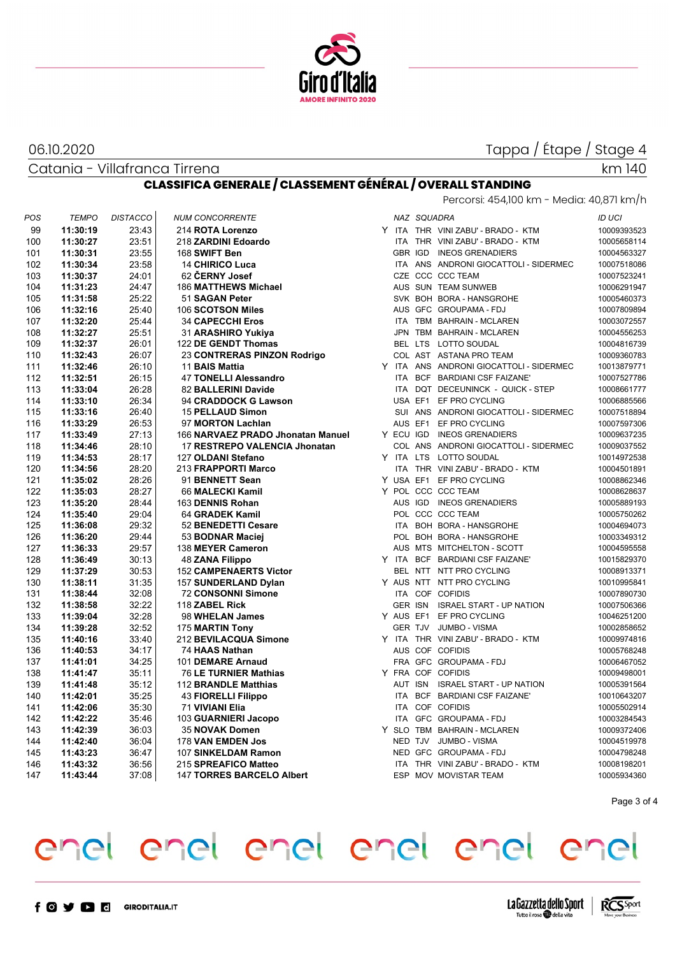

### 06.10.2020

Catania - Villafranca Tirrena

## Tappa / Étape / Stage 4

km 140

### **CLASSIFICA GENERALE / CLASSEMENT GÉNÉRAL / OVERALL STANDING**

| Percorsi: 454,100 km - Media: 40,871 km/h |
|-------------------------------------------|
|-------------------------------------------|

| POS | <b>TEMPO</b> | <b>DISTACCO</b> | <b>NUM CONCORRENTE</b>            |  | NAZ SQUADRA |                                         | ID UCI      |
|-----|--------------|-----------------|-----------------------------------|--|-------------|-----------------------------------------|-------------|
| 99  | 11:30:19     | 23:43           | 214 ROTA Lorenzo                  |  |             | Y ITA THR VINI ZABU' - BRADO - KTM      | 10009393523 |
| 100 | 11:30:27     | 23:51           | 218 ZARDINI Edoardo               |  |             | ITA THR VINI ZABU' - BRADO - KTM        | 10005658114 |
| 101 | 11:30:31     | 23:55           | 168 SWIFT Ben                     |  |             | GBR IGD INEOS GRENADIERS                | 10004563327 |
| 102 | 11:30:34     | 23:58           | <b>14 CHIRICO Luca</b>            |  |             | ITA ANS ANDRONI GIOCATTOLI - SIDERMEC   | 10007518086 |
| 103 | 11:30:37     | 24:01           | 62 ČERNY Josef                    |  |             | CZE CCC CCC TEAM                        | 10007523241 |
| 104 | 11:31:23     | 24:47           | 186 MATTHEWS Michael              |  |             | AUS SUN TEAM SUNWEB                     | 10006291947 |
| 105 | 11:31:58     | 25:22           | 51 SAGAN Peter                    |  |             | SVK BOH BORA - HANSGROHE                | 10005460373 |
| 106 | 11:32:16     | 25:40           | 106 SCOTSON Miles                 |  |             | AUS GFC GROUPAMA - FDJ                  | 10007809894 |
| 107 | 11:32:20     | 25:44           | <b>34 CAPECCHI Eros</b>           |  |             | ITA TBM BAHRAIN - MCLAREN               | 10003072557 |
| 108 | 11:32:27     | 25:51           | 31 ARASHIRO Yukiya                |  |             | JPN TBM BAHRAIN - MCLAREN               | 10004556253 |
| 109 | 11:32:37     | 26:01           | 122 DE GENDT Thomas               |  |             | BEL LTS LOTTO SOUDAL                    | 10004816739 |
| 110 | 11:32:43     | 26:07           | 23 CONTRERAS PINZON Rodrigo       |  |             | COL AST ASTANA PRO TEAM                 | 10009360783 |
| 111 | 11:32:46     | 26:10           | 11 BAIS Mattia                    |  |             | Y ITA ANS ANDRONI GIOCATTOLI - SIDERMEC | 10013879771 |
| 112 | 11:32:51     | 26:15           | 47 TONELLI Alessandro             |  |             | ITA BCF BARDIANI CSF FAIZANE'           | 10007527786 |
| 113 | 11:33:04     | 26:28           | 82 BALLERINI Davide               |  |             | ITA DQT DECEUNINCK - QUICK - STEP       | 10008661777 |
| 114 | 11:33:10     | 26:34           | 94 CRADDOCK G Lawson              |  |             | USA EF1 EF PRO CYCLING                  | 10006885566 |
| 115 | 11:33:16     | 26:40           | <b>15 PELLAUD Simon</b>           |  |             | SUI ANS ANDRONI GIOCATTOLI - SIDERMEC   | 10007518894 |
| 116 | 11:33:29     | 26:53           | 97 MORTON Lachlan                 |  |             | AUS EF1 EF PRO CYCLING                  | 10007597306 |
| 117 | 11:33:49     | 27:13           | 166 NARVAEZ PRADO Jhonatan Manuel |  |             | Y ECU IGD INEOS GRENADIERS              | 10009637235 |
| 118 | 11:34:46     | 28:10           | 17 RESTREPO VALENCIA Jhonatan     |  |             | COL ANS ANDRONI GIOCATTOLI - SIDERMEC   | 10009037552 |
| 119 | 11:34:53     | 28:17           | 127 OLDANI Stefano                |  |             | Y ITA LTS LOTTO SOUDAL                  | 10014972538 |
| 120 | 11:34:56     | 28:20           | 213 FRAPPORTI Marco               |  |             | ITA THR VINI ZABU' - BRADO - KTM        | 10004501891 |
| 121 | 11:35:02     | 28:26           | 91 BENNETT Sean                   |  |             | Y USA EF1 EF PRO CYCLING                | 10008862346 |
| 122 | 11:35:03     | 28:27           | 66 MALECKI Kamil                  |  |             | Y POL CCC CCC TEAM                      | 10008628637 |
| 123 | 11:35:20     | 28:44           | 163 DENNIS Rohan                  |  |             | AUS IGD INEOS GRENADIERS                | 10005889193 |
| 124 | 11:35:40     | 29:04           | 64 GRADEK Kamil                   |  |             | POL CCC CCC TEAM                        | 10005750262 |
| 125 | 11:36:08     | 29:32           | 52 BENEDETTI Cesare               |  |             | ITA BOH BORA - HANSGROHE                | 10004694073 |
| 126 | 11:36:20     | 29:44           | 53 BODNAR Maciej                  |  |             | POL BOH BORA - HANSGROHE                | 10003349312 |
| 127 | 11:36:33     | 29:57           | 138 MEYER Cameron                 |  |             | AUS MTS MITCHELTON - SCOTT              | 10004595558 |
| 128 | 11:36:49     | 30:13           | <b>48 ZANA Filippo</b>            |  |             | Y ITA BCF BARDIANI CSF FAIZANE'         | 10015829370 |
| 129 | 11:37:29     | 30:53           | <b>152 CAMPENAERTS Victor</b>     |  |             | BEL NTT NTT PRO CYCLING                 | 10008913371 |
| 130 | 11:38:11     | 31:35           | 157 SUNDERLAND Dylan              |  |             | Y AUS NTT NTT PRO CYCLING               | 10010995841 |
| 131 | 11:38:44     | 32:08           | <b>72 CONSONNI Simone</b>         |  |             | ITA COF COFIDIS                         | 10007890730 |
| 132 | 11:38:58     | 32:22           | 118 ZABEL Rick                    |  |             | GER ISN ISRAEL START - UP NATION        | 10007506366 |
| 133 | 11:39:04     | 32:28           | 98 WHELAN James                   |  |             | Y AUS EF1 EF PRO CYCLING                | 10046251200 |
| 134 | 11:39:28     | 32:52           | 175 MARTIN Tony                   |  |             | GER TJV JUMBO - VISMA                   | 10002858652 |
| 135 | 11:40:16     | 33:40           | 212 BEVILACQUA Simone             |  |             | Y ITA THR VINI ZABU' - BRADO - KTM      | 10009974816 |
| 136 | 11:40:53     | 34:17           | 74 HAAS Nathan                    |  |             | AUS COF COFIDIS                         | 10005768248 |
| 137 | 11:41:01     | 34:25           | 101 DEMARE Arnaud                 |  |             | FRA GFC GROUPAMA - FDJ                  | 10006467052 |
| 138 | 11:41:47     | 35:11           | 76 LE TURNIER Mathias             |  |             | Y FRA COF COFIDIS                       | 10009498001 |
| 139 | 11:41:48     | 35:12           | 112 BRANDLE Matthias              |  |             | AUT ISN ISRAEL START - UP NATION        | 10005391564 |
| 140 | 11:42:01     | 35:25           | <b>43 FIORELLI Filippo</b>        |  |             | ITA BCF BARDIANI CSF FAIZANE'           | 10010643207 |
| 141 | 11:42:06     | 35:30           | 71 VIVIANI Elia                   |  |             | ITA COF COFIDIS                         | 10005502914 |
| 142 | 11:42:22     | 35:46           | 103 GUARNIERI Jacopo              |  |             | ITA GFC GROUPAMA - FDJ                  | 10003284543 |
| 143 | 11:42:39     | 36:03           | 35 NOVAK Domen                    |  |             | Y SLO TBM BAHRAIN - MCLAREN             | 10009372406 |
| 144 | 11:42:40     | 36:04           | 178 VAN EMDEN Jos                 |  |             | NED TJV JUMBO - VISMA                   | 10004519978 |
| 145 | 11:43:23     | 36:47           | 107 SINKELDAM Ramon               |  |             | NED GFC GROUPAMA - FDJ                  | 10004798248 |
| 146 | 11:43:32     | 36:56           | 215 SPREAFICO Matteo              |  |             | ITA THR VINI ZABU' - BRADO - KTM        | 10008198201 |
| 147 | 11:43:44     | 37:08           | <b>147 TORRES BARCELO Albert</b>  |  |             | ESP MOV MOVISTAR TEAM                   | 10005934360 |
|     |              |                 |                                   |  |             |                                         |             |

Page 3 of 4